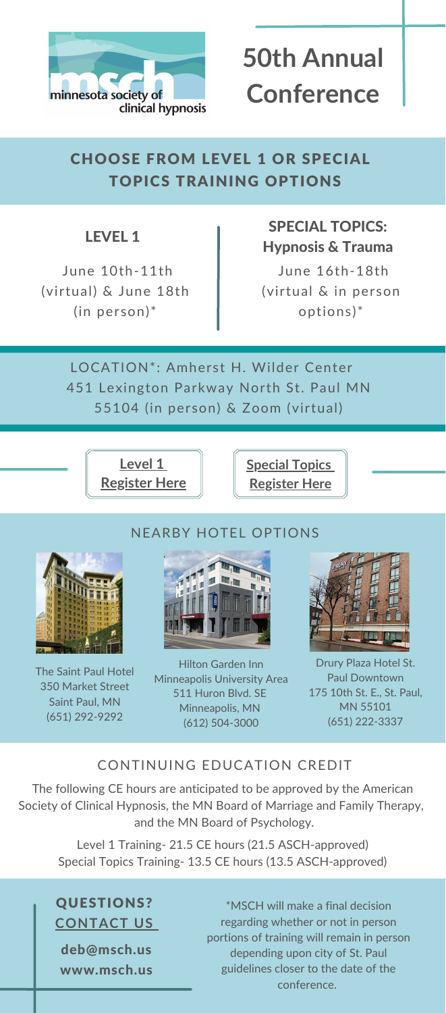# LEVEL 1

## SPECIAL TOPICS: Hypnosis & Trauma

QUESTIONS? **[CONTACT](https://msch.us/contact/) US**

deb@msch.us www.msch.us



# **50th Annual Conference**

# CHOOSE FROM LEVEL 1 OR SPECIAL TOPICS TRAINING OPTIONS

LOCATION\*: Amherst H. Wilder Center 451 Lexington Parkway North St. Paul MN 55104 (in person) & Zoom (virtual)

June 16th-18th (virtual & in person options)\*

\*MSCH will make a final decision regarding whether or not in person portions of training will remain in person depending upon city of St. Paul guidelines closer to the date of the conference.



### CONTINUING EDUCATION CREDIT

The following CE hours are anticipated to be approved by the American Society of Clinical Hypnosis, the MN Board of Marriage and Family Therapy, and the MN Board of Psychology.

Level 1 Training- 21.5 CE hours (21.5 ASCH-approved) Special Topics Training- 13.5 CE hours (13.5 ASCH-approved)

### NEARBY HOTEL OPTIONS







The Saint Paul Hotel 350 [Market](https://www.google.com/maps/place/The+Saint+Paul+Hotel/) Street [Saint](https://www.google.com/maps/place/The+Saint+Paul+Hotel/) Paul, MN (651) [292-9292](tel:6512929292)

Hilton Garden Inn Minneapolis University Area 511 [Huron](http://maps.google.com/?q=511%20Huron%20Blvd.%20SE,%20Minneapolis,%20Minnesota,%2055414,%20USA) Blvd. S[E](http://maps.google.com/?q=511%20Huron%20Blvd.%20SE,%20Minneapolis,%20Minnesota,%2055414,%20USA) [Minneapolis](http://maps.google.com/?q=511%20Huron%20Blvd.%20SE,%20Minneapolis,%20Minnesota,%2055414,%20USA), MN (612) [504-3000](https://www.google.com/search?client=safari&rls=en&q=hilton+garden+inn+university&ie=UTF-8&oe=UTF-8#)

Drury Plaza Hotel St. Paul Downtown 175 10th St. E., St. Paul, MN 55101 (651) [222-3337](https://www.google.com/search?client=safari&rls=en&q=drury+plaza+hotel+st+paul&ie=UTF-8&oe=UTF-8#)

June 10th-11th (virtual) & June 18th (in person)\*

> **[Special](https://msch.us/education/2022-annual-conference-with-janina-fisher/) Topics [Register](https://msch.us/education/2022-annual-conference-with-janina-fisher/) Here**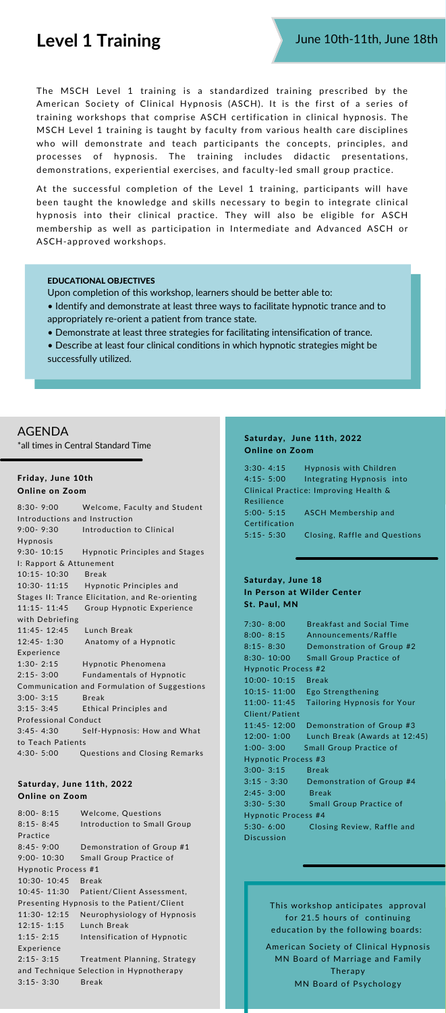The MSCH Level 1 training is a standardized training prescribed by the American Society of Clinical Hypnosis (ASCH). It is the first of a series of training workshops that comprise ASCH certification in clinical hypnosis. The MSCH Level 1 training is taught by faculty from various health care disciplines who will demonstrate and teach participants the concepts, principles, and processes of hypnosis. The training includes didactic presentations, demonstrations, experiential exercises, and faculty-led small group practice.

At the successful completion of the Level 1 training, participants will have been taught the knowledge and skills necessary to begin to integrate clinical hypnosis into their clinical practice. They will also be eligible for ASCH membership as well as participation in Intermediate and Advanced ASCH or ASCH-approved workshops.

# **Level 1 Training**

Saturday, June 18 In Person at Wilder Center St. Paul, MN

| $7:30 - 8:00$              | <b>Breakfast and Social Time</b> |  |
|----------------------------|----------------------------------|--|
| $8:00 - 8:15$              | Announcements/Raffle             |  |
| $8:15 - 8:30$              | Demonstration of Group #2        |  |
| $8:30 - 10:00$             | <b>Small Group Practice of</b>   |  |
| Hypnotic Process #2        |                                  |  |
| $10:00 - 10:15$            | <b>Break</b>                     |  |
| $10:15 - 11:00$            | Ego Strengthening                |  |
| $11:00 - 11:45$            | Tailoring Hypnosis for Your      |  |
| Client/Patient             |                                  |  |
| 11:45 - 12:00              | Demonstration of Group #3        |  |
| $12:00 - 1:00$             | Lunch Break (Awards at 12:45)    |  |
|                            |                                  |  |
| $1:00 - 3:00$              | <b>Small Group Practice of</b>   |  |
| Hypnotic Process #3        |                                  |  |
| $3:00 - 3:15$              | <b>Break</b>                     |  |
| $3:15 - 3:30$              | Demonstration of Group #4        |  |
| $2:45 - 3:00$              | <b>Break</b>                     |  |
| $3:30 - 5:30$              | <b>Small Group Practice of</b>   |  |
| <b>Hypnotic Process #4</b> |                                  |  |
| $5:30 - 6:00$              | Closing Review, Raffle and       |  |
| <b>Discussion</b>          |                                  |  |

### Saturday, June 11th, 2022 Online on Zoom

| $8:00 - 8:15$                             | <b>Welcome, Questions</b>              |  |
|-------------------------------------------|----------------------------------------|--|
| $8:15 - 8:45$                             | Introduction to Small Group            |  |
| Practice                                  |                                        |  |
| $8:45 - 9:00$                             | Demonstration of Group #1              |  |
| $9:00 - 10:30$                            | <b>Small Group Practice of</b>         |  |
| Hypnotic Process #1                       |                                        |  |
| 10:30-10:45                               | <b>Break</b>                           |  |
|                                           | 10:45-11:30 Patient/Client Assessment, |  |
| Presenting Hypnosis to the Patient/Client |                                        |  |
| $11:30 - 12:15$                           | Neurophysiology of Hypnosis            |  |
| $12:15 - 1:15$                            | Lunch Break                            |  |
| $1:15 - 2:15$                             | Intensification of Hypnotic            |  |
| Experience                                |                                        |  |
| $2:15 - 3:15$                             | Treatment Planning, Strategy           |  |
| and Technique Selection in Hypnotherapy   |                                        |  |
| $3:15 - 3:30$                             | <b>Break</b>                           |  |
|                                           |                                        |  |

### EDUCATIONAL OBJECTIVES

Upon completion of this workshop, learners should be better able to:

- Identify and demonstrate at least three ways to facilitate hypnotic trance and to appropriately re-orient a patient from trance state.
- Demonstrate at least three strategies for facilitating intensification of trance.
- Describe at least four clinical conditions in which hypnotic strategies might be successfully utilized.

### AGENDA

\*all times in Central Standard Time

### Friday, June 10th Online on Zoom

8:30- 9:00 Welcome, Faculty and Student Introductions and Instruction 9:00- 9:30 Introduction to Clinical Hypnosis 9:30- 10:15 Hypnotic Principles and Stages I: Rapport & Attunement 10:15- 10:30 Break 10:30- 11:15 Hypnotic Principles and Stages II: Trance Elicitation, and Re-orienting 11:15- 11:45 Group Hypnotic [Experience](https://docs.google.com/document/d/1nOTMx2omh2maITlxo3cdadXKu-n6mwxWkPe2b1RhXLM/edit?usp=sharing) with Debriefing 11:45- 12:45 Lunch Break 12:45- 1:30 Anatomy of a Hypnotic [Experience](https://docs.google.com/document/d/1WgUFteiwBRynh40kXD9sWRSjW1L5yKXjY7KPIbTp8Z0/edit?usp=sharing) 1:30- 2:15 Hypnotic [Phenomena](https://docs.google.com/document/d/1yF61GI_g_RdvQKRZQDTXQ1OSeFxAdDhaRxhiNahahUg/edit?usp=sharing) 2:15- 3:00 Fundamentals of Hypnotic [Communication](https://docs.google.com/document/d/1I4u-6N7VfrL635uS7ku7Ecjm79Fa-OBNd_Y802D4Q64/edit?usp=sharing) and Formulation of Suggestions 3:00- 3:15 Break 3:15- 3:45 Ethical Principles and [Professional](https://docs.google.com/document/d/1rhH9Z3wyIPTzXeR7PwbyAATJSRsobxyo6o5Lk2kEoAs/edit?usp=sharing) Conduct 3:45- 4:30 [Self-Hypnosis:](https://docs.google.com/document/d/1gJQ49hWLK2GqYfLI1HhcKvIoedItx9tDdccCbD1XLgU/edit?usp=sharing) How and What to Teach Patients 4:30- 5:00 Questions and Closing Remarks

> This workshop anticipates approval for 21.5 hours of continuing education by the following boards:

American Society of Clinical Hypnosis MN Board of Marriage and Family Therapy MN Board of Psychology

### Saturday, June 11th, 2022 Online on Zoom

3:30- 4:15 Hypnosis with Children 4:15- 5:00 Integrating Hypnosis into Clinical Practice: Improving Health & Resilience 5:00- 5:15 ASCH Membership and Certification 5:15- 5:30 Closing, Raffle and Questions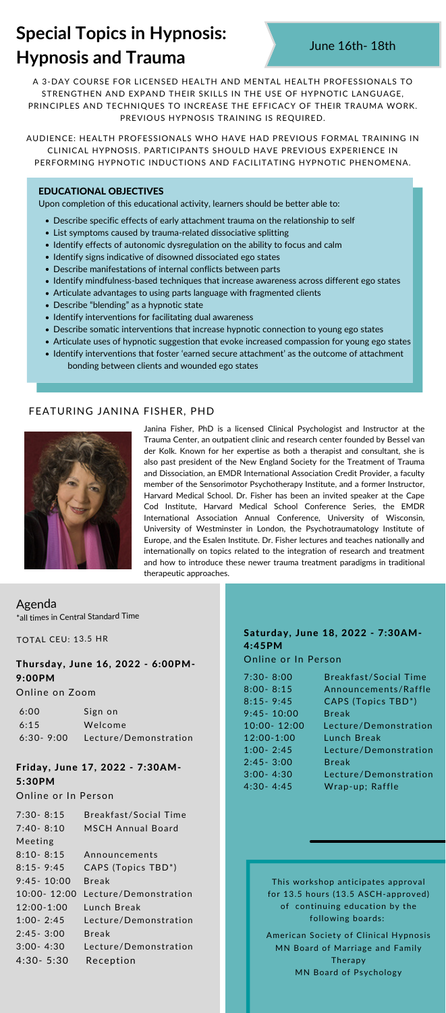### Thursday, June 16, 2022 - 6:00PM-9:00PM

Online on Zoom

| 6:00 | Sign on                         |
|------|---------------------------------|
| 6:15 | Welcome                         |
|      | 6:30-9:00 Lecture/Demonstration |

### Friday, June 17, 2022 - 7:30AM-5:30PM

Online or In Person

| $7:30 - 8:15$   | <b>Breakfast/Social Time</b>    |
|-----------------|---------------------------------|
| $7:40 - 8:10$   | <b>MSCH Annual Board</b>        |
| Meeting         |                                 |
| $8:10 - 8:15$   | Announcements                   |
| $8:15 - 9:45$   | CAPS (Topics TBD <sup>*</sup> ) |
| $9:45 - 10:00$  | <b>Break</b>                    |
| $10:00 - 12:00$ | Lecture/Demonstration           |
| $12:00 - 1:00$  | Lunch Break                     |
| $1:00 - 2:45$   | Lecture/Demonstration           |
| $2:45 - 3:00$   | Break                           |
| $3:00 - 4:30$   | Lecture/Demonstration           |
| $4:30 - 5:30$   | Reception                       |

A 3-DAY COURSE FOR LICENSED HEALTH AND MENTAL HEALTH PROFESSIONALS TO STRENGTHEN AND EXPAND THEIR SKILLS IN THE USE OF HYPNOTIC LANGUAGE, PRINCIPLES AND TECHNIQUES TO INCREASE THE EFFICACY OF THEIR TRAUMA WORK. PREVIOUS HYPNOSIS TRAINING IS REQUIRED.

AUDIENCE: HEALTH PROFESSIONALS WHO HAVE HAD PREVIOUS FORMAL TRAINING IN CLINICAL HYPNOSIS. PARTICIPANTS SHOULD HAVE PREVIOUS EXPERIENCE IN PERFORMING HYPNOTIC INDUCTIONS AND FACILITATING HYPNOTIC PHENOMENA.

# **Special Topics in Hypnosis: Hypnosis and Trauma**

- Describe specific effects of early attachment trauma on the relationship to self
- List symptoms caused by trauma-related dissociative splitting
- Identify effects of autonomic dysregulation on the ability to focus and calm
- Identify signs indicative of disowned dissociated ego states
- Describe manifestations of internal conflicts between parts
- Identify mindfulness-based techniques that increase awareness across different ego states
- Articulate advantages to using parts language with fragmented clients
- Describe "blending" as a hypnotic state
- Identify interventions for facilitating dual awareness
- Describe somatic interventions that increase hypnotic connection to young ego states
- Articulate uses of hypnotic suggestion that evoke increased compassion for young ego states
- Identify interventions that foster 'earned secure attachment' as the outcome of attachment bonding between clients and wounded ego states

### EDUCATIONAL OBJECTIVES

Upon completion of this educational activity, learners should be better able to:

### Agenda

\*all times in Central Standard Time

TOTAL CEU: 13.5 HR

Janina Fisher, PhD is a licensed Clinical Psychologist and Instructor at the Trauma Center, an outpatient clinic and research center founded by Bessel van der Kolk. Known for her expertise as both a therapist and consultant, she is also past president of the New England Society for the Treatment of Trauma and Dissociation, an EMDR International Association Credit Provider, a faculty member of the Sensorimotor Psychotherapy Institute, and a former Instructor, Harvard Medical School. Dr. Fisher has been an invited speaker at the Cape Cod Institute, Harvard Medical School Conference Series, the EMDR International Association Annual Conference, University of Wisconsin, University of Westminster in London, the Psychotraumatology Institute of Europe, and the Esalen Institute. Dr. Fisher lectures and teaches nationally and internationally on topics related to the integration of research and treatment and how to introduce these newer trauma treatment paradigms in traditional therapeutic approaches.

### FEATURING JANINA FISHER, PHD



### Saturday, June 18, 2022 - 7:30AM-4:45PM

Online or In Person

| $7:30 - 8:00$  | <b>Breakfast/Social Time</b>    |
|----------------|---------------------------------|
| $8:00 - 8:15$  | Announcements/Raffle            |
| $8:15 - 9:45$  | CAPS (Topics TBD <sup>*</sup> ) |
| $9:45 - 10:00$ | <b>Break</b>                    |
| 10:00-12:00    | Lecture/Demonstration           |
| $12:00 - 1:00$ | Lunch Break                     |
| $1:00 - 2:45$  | Lecture/Demonstration           |
| $2:45 - 3:00$  | <b>Break</b>                    |
| $3:00 - 4:30$  | Lecture/Demonstration           |
| $4:30 - 4:45$  | Wrap-up; Raffle                 |

This workshop anticipates approval for 13.5 hours (13.5 ASCH-approved) of continuing education by the following boards:

American Society of Clinical Hypnosis MN Board of Marriage and Family Therapy MN Board of Psychology